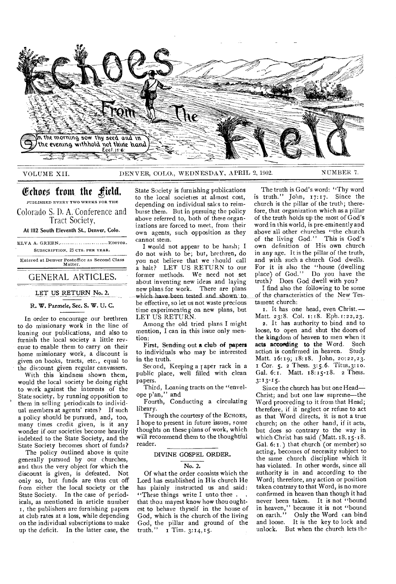

# VOLUME XII. DENVER, COLO., WEDNESDAY, APRIL 2, 1902. N UMBER 7.

# Echoes from the field.

PUBLISHED EVERY TWO WEEKS FOR THE Colorado S. D. A. Conference and Tract Society,

At 1112 South Eleventh St., Denver, Colo.

ELVA A. GREEN............................. EDITOR. SUBSCRIPTION, 25 CTS. PER YEAR.

Entered at Denver Postoffice as Second Class Matter.

GENERAL ARTICLES.

LET US RETURN No. 2.

R. W. Parmele, Sec. S. W. U. C.

In order to encourage our brethren to do missionary work in the line of loaning our publications, and also to furnish the local society a little revenue to enable them to carry on their home missionary work, a discount is given on books, tracts, etc., equal to the discount given regular canvassers.

With this kindness shown them, would the local society be doing right to work against the interests of the State society, by running opposition to them in selling periodicals to individual members at agents' rates? If such a policy should be pursued, and, too, many times credit given, is it any wonder if our societies become heavily indebted to the State Society, and the State Society becomes short of funds?

The policy outlined above is quite generally pursued by our churches, and thus the very object for which the discount is given, is defeated. Not only so, but funds are thus cut off from either the local society or the State Society. In the case of periodicals, as mentioned in article number r, the publishers are furnishing papers at club rates at a loss, while depending on the individual subscriptions to make up the deficit. In the latter case, the

State Society is furnishing publications to the local societies at almost cost, depending on individual sales to reimburse them. But in pursuing the policy above referred to, both of these organizations are forced to meet, from their own agents, such opposition as they cannot stein.

I would not appear to be harsh; I do not wish to be; but, brethren, do you not believe that we should call a halt? LET US RETURN to our former methods. We need not set about inventing new ideas and laying new plans for work. There are plans which have been tested and shown to be effective, so let us not waste precious time experimenting on new plans, but LET US RETURN.

Among the old tried plans I might mention, I can in this issue only mention:

First, Sending out a club of papers to individuals who may be interested in the truth.

Second, Keeping a paper rack in a public place, well filled with clean papers.

Third, Loaning tracts on the "envelope plan," and

Fourth, Conducting a circulating library.

Through the courtesy of the ECHOES, I hope to present in future issues, some thoughts on these plans of work, which will recommend them to the thoughtful reader.

#### DIVINE GOSPEL ORDER.

#### No. 2.

Of what the order consists which the Lord has established in His church He has plainly instructed us and said: "These things write I unto thee. that thou mayest know how thou oughtest to behave thyself in the house of God, which is the church of the living God, the pillar and ground of the  $truth.''$  1 Tim.  $3:14,15$ .

The truth is God's word: "Thy word is truth." John, 17:17. Since the church is the pillar of the truth; therefore, that organization which as a pillar of the truth holds up the most of God's word'in this world, is pre-eminently and above all other churches "the church of the living God." This is God's own definition of His own church in any age. It is the pillar of the truth, and with such a church God dwells. For it is also the "house (dwelling place) of God." Do you have the  $truth<sub>2</sub><sup>5</sup>$  Does God dwell with you?

I find also the following to be some of the characteristics of the New Testament church:

I. It has one head, even Christ.— Matt. 23:8. Col. 1:18. Eph. 1:22,23.

2. It has authority to bind and to loose, to open and shut the doors of the kingdom of heaven to men when it acts according to the Word. Such action is confirmed in heaven. Study Matt. 16:19; 18:18. John, 20:22,23. I Cor. 5. 2 Thess. 3:5.6. Titus,3: to. Gal. 6: 1. Matt. 18:15-18. 2 Thess. 3:13-15.

Since the church has but one Head— Christ; and but one law supreme—the Word proceeding to it from that Head; therefore, if it neglect or refuse to act as that Word directs, it is not a true church; on the other hand, if it acts, but does so contrary to the way in which Christ has said (Matt.  $18.15 - 18$ . Gal. 6: r.) that church (or member) so acting, becomes of necessity subject to the same church discipline which it has violated. In other words, since all authority is in and according to the Word; therefore, any action or position taken contrary to that Word, is no more confirmed in heaven than though it had never been taken. It is not "bound in heaven," because it is not "bound on earth." Only the Word can bind and loose. It is the key to lock and unlock. But when the church lets the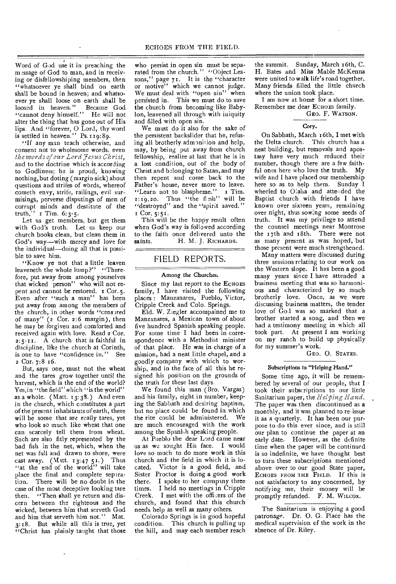Word of God use it in preaching the message of God to man, and in receiving or disfellowshiping members, then "whatsoever ye shall bind on earth shall be bound in heaven; and whatsoever ye shall loose on earth shall be loosed in heaven." Because God "cannot deny himself." He will not alter the thing that has gone out of His lips. And "forever, 0 Lord, thy word is settled in heaven." Ps.  $119:89$ .

"If any man teach otherwise, and consent not to wholesome words, even *the words of our Lord 7 esus Christ,*  and to the doctrine which is according to Godliness; he is proud, knowing nothing, but doting (margin sick) about questions and strifes of wbrds, whereof cometh envy, strife, railings, evil surmisings, perverse disputings of men of corrupt minds and destitute of the truth." **r** Tim. 6:3-5.

Let us get members, but get them with God's truth. Let us keep our church books clean, but clean them in God's way--with mercy and love for the individual—doing all that is possible to save him.

"Know ye not that a little leaven leaveneth the whole lump?" "Therefore, put away from among yourselves that wicked person" who will not repent and cannot be restored. T Cor.5. Even after "such a man" has been put away from among the members of the church, in other words "censured of many" (2 Cor. 2:6 margin), then he may be forgiven and comforted and received again with love. Read 2 Cor.  $2:5$ -11. A church that is faithful in discipline, like the church at Corinth, is one to have "confidence in." See 2 Cor. 7:8 16.

But, says one, must not the wheat and the tares grow together until the harvest, which is the end of the world? Yes, in "the field" which "is the world" as a whole. (Matt.  $13:38$ .) And even in the church, which constitutes a part of the present inhabitants of earth, there will be some that are really tares, yet who look so much like wheat that one can scarcely tell them from wheat. Such are also fitly represented by the bad fish in the net, which, when the net was full and drawn to shore, were cast away. (Matt.  $13:4751$ .) Thus "at the end of the world" will take place the final and complete separation. There will be no doubt in the case of the most deceptive looking tare then. "Then shall ye return and discern between the righteous and the wicked, between him that serveth God and him that serveth him not." Mat. 3:18. But while all this is true, yet "Christ has plainly taught that those

who persist in open sin must be separated from the church." "Object Lessons," page 71. It is the "character or motive" which we cannot judge. We must deal with "open sin" when persisted in. This we must do to save the church from becoming like Babylon, leavened all through with iniquity and filled with open sin.

We must do it also for the sake of the persistent backslider that he, refusing all brotherly admonition and help, may, by being put away from church fellowship, realize at last that he is in a lost condition, out of the body of Christ and belonging to Satan, and may then repent and come back to the Father's house, never more to leave. "Learn not to blaspheme." I Tim.  $1:19,20$ . Thus "the fl:sh" will be "destroyed" and the "spirit saved." Cor. 5:51.

This will be the happy result often when God's way is followed according to the faith once delivered unto the saints. H. M. J. RICHARDS. H. M. J. RICHARDS.

# FIELD REPORTS.

# Among the Churches.

Since my last report to the ECHOES family, I have visited the following places : Manzanares, Pueblo, Victor, Cripple Creek and Colo. Springs.

Eld. W. Ziegler accompained me to Manzanares, a Mexican town of about five hundred Spanish speaking people. For some time I had been in correspondence with a Methodist minister of that place. He was in charge of a mission, had a neat little chapel, and a goodly company with which to worship, and in the face of all this he resigned his position on the grounds of the truth for these last days.

We found this man (Bro. Vargas) and his family, eight in number, keeping the Sabbath and desiring baptism, but no place could be found in which<br>the rite could be administered. We the rite could be administered. are much encouraged with the work among the Spanish speaking people.

At Pueblo the dear Lord came near us as we sought His face. I would love so much to do more work in this church and the field in which it is located. Victor is a good field, and Sister Proctor is doing a good work there. I spoke to her company three times. I held no meetings in Cripple Creek. I met with the officers of the church, and found that this church needs help as well as many others.

Colorado Springs is in good hopeful condition. This church is pulling up the hill, and may each member reach

the summit. Sunday, March 16th, C. H. Bates and Miss Mable McKenna were united to walk life's road together, Many friends filled the little church where the union took place.

I am now at home for a short time. Remember me dear ECHOES family.

GEO. F. WATSON.

## Cory.

On Sabbath, March r 6th, I met with the Delta church. This church has a neat building, but removals and apostasy have very much reduced their number, though there are a few faithful ones here who love the truth. My wife and I have placed our membership here so as to help them. Sunday I wheeled to Olaha and attended the Baptist church with friends I have known over sixteen years, remaining over night, thus sowing some seeds of truth. It was my privilege to attend the counsel meetings near Montrose the 17th and 18th. There were not as many present as was hoped, but those present were much strengthened.

Many matters were discussed during three sessions relating to our work on the Western slope. It has been a good many years since I have attended a business meeting that was so harmonious and characterized by so much brotherly love. Once, as we were discussing business matters, the tender love of God was so marked that a brother started a song, and then we had a testimony meeting in which all took part. At present I am working on my ranch to build up physically for my summer's work.

GEO. 0. STATES.

# Subscriptions to "Helping Hand."

Some time ago, it will be remembered by several of our people, that I took their subscriptions to our little Sanitarium paper, the *Helping Hand.*  The paper was then discontinued as a monthly, and it was planned to re-issue it as a quarterly. It has been our purpose to do this ever since, and is still our plan to continue the paper at an early date. However, as the definite time when the paper will be continued is so indefinite, we have thought best to turn these subscriptions mentioned above over to our good State paper, ECHOES FROM THE FIELD. If this is not satisfactory to any concerned, by notifying me, their money will be promptly refunded. F. M. WiLcox.

The Sanitarium is enjoying a good patronage. Dr. 0. G. Place has the medical supervision of the work in the absence of Dr. Riley.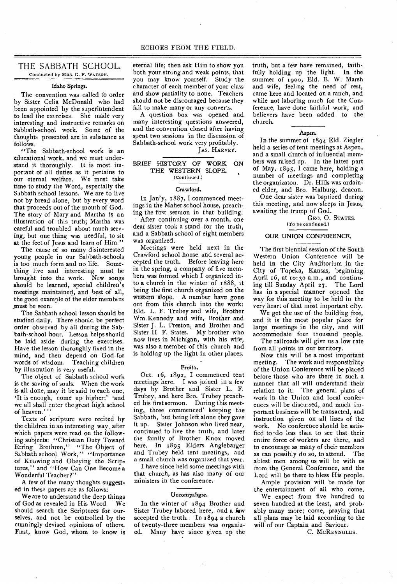# THE SABBATH SCHOOL.

Conducted by MRS. G. F. WATSON.

# Idaho Springs.

The convention was called to order by Sister Celia McDonald who had been appointed by the superintendent to lead the exercises. She made very interesting and instructive remarks on Sabbath-school work. Some of the thoughts presented are in substance as follows.

"The Sabbath-school work is an educational work, and we must understand it thoroughly. It is most important of all duties as it pertains to our eternal welfare. We must take time to study the Word, especially the Sabbath school lessons. We are to live not by bread alone, but by every word that proceeds out of the mouth of God. The story of Mary and Martha is an illustration of this truth; Martha was careful and troubled about much serving, but one thing was needful, to sit at the feet of Jesus and learn of Him."

The cause of so many disinterested young people in our Sabbath-schools is too much form and no life. Something live and interesting must be brought into the work. New songs should be learned, special children's meetings maintained, and best of all, the good example of the elder members \_must be seen.

The Sabbath school lesson should be studied daily. There should be perfect order observed by all during the Sabbath-school hour. Lesson helps should be laid aside during the exercises. Have the lesson thoroughly fixed in the mind, and then depend on God for words of wisdom. Teaching children by illustration is very useful.

The object of Sabbath school work is the saving of souls. When the work is all done, may it be said to each one, 'It is enough, come up higher;' and we all shall enter the great high school of heaven."'

Texts of scripture were recited by the children in an interesting way, after which papers were read on the following subjects: "Christian Duty Toward Erring Brethren," "The Object of Sabbath school Work," "Importance of Knowing and Obeying the Scriptures," and "How Can One Become a Wonderful Teacher?"

A few of the many thoughts suggested in these papers are as follows:

We are to understand the deep things of God as revealed in His Word. We should search the Scriptures for ourselves, and not be controlled by the cunningly devised opinions of others. First, know God, whom to know is eternal life; then ask Him to show you both your strong and weak points, that you may know yourseif. Study the character of each member of your class and show partiality to none. Teachers should not be discouraged because they fail to make many or any converts.

A question box was opened and many interesting questions answered, and the convention closed after having spent two sessions in the discussion of Sabbath-school work very profitably.

# JAS. HARVEY.

## BRIEF HISTORY OF WORK ON THE WESTERN SLOPE. (Continued.)

### Crawford.

In Jan'y, 1887, I commenced meetings in the Maher school house, preaching the first sermon in that building.

After continuiug over a month, one dear sister took a stand for the truth, and a Sabbath school of eight members was organized.

Meetings were held next in the Crawford school house and several accepted the truth. Before leaving here in the spring, a company of five members was formed which I organized into a church in the winter of 1888, it being the first church organized on the western slope.  $-A$  number have gone out from this chnrch into the work: Eld. L. F. Trubey and wife, Brother Wm.Kennedy and wife, Brother and Sister J. L. Preston, and Brother and Sister H. F. States. My brother who now lives in Michigan, with his wife, was also a member of this church and is holding up the light in other places.

# Fruita.

Oct. 16, 1892, I commenced tent meetings here. I was joined in a few days by Brother and Sister L. F. Trubey, and here Bro. Trubey preached his first sermon. During this meeting, three commenced' keeping the Sabbath, but being left alone they gave it up. Sister Johnson who lived near, continued to live the truth, and later the family of Brother Knox moved here. In 1895 Elders Anglebarger and Trubey held tent meetings, and a small church was organized that year.

I have since held some meetings with that church, as has also many of our ministers in the conference.

## Uncompahgre.

In the winter of 1894 Brother and Sister Trubey labored here, and a **few**  accepted the truth. In 1894 a church of twenty-three members was organized. Many have since given up the

truth, but a few have remained, faithfully holding up the light. In the summer of 1900, Eld. B. W. Marsh and wife, feeling the need of rest, came here and located on a ranch, and while not laboring much for the Conference, have done faithful work, and believers have been added to the church.

#### Aspen.

In the summer of 1894 Eld. Ziegler held a series of tent meetings at Aspen, and a small church of influential members was raised up. In the latter part of May, 1895, I came here, holding a number of meetings and completing the organizaton. Dr. Hills was ordained elder, and Bro. Halburg, deacon.

One dear sister was baptized during this meeting, and now sleeps in Jesus, awaiting the trump of God.

GEO. 0. STATES. (To be continued.)

## OUR UNION CONFERENCE.

The first biennial session of the South Western Union Conference will be held in the City Auditorium in the City of Topeka, Kansas, beginning April 16, at 1o:3o a.m., and continuing till Sunday April 27. The Lord has in a special manner opened the way for this meeting to be held in the very heart of that most important city.

We get the use of the building free, and it is the most popular place for large meetings in the city, and will accommodate four thousand people. The railroads will give us a low rate from all points in our territory.

Now this will be a most important meeting. The work and responsibility of the Union Conference will be placed before those who are there in such a manner that all will understand their relation to it. The general plans of work in the Union and local conferences will be discussed, and much important business will be transacted, and instruction given on all lines of the work. No conference should be satisfied to •do less than to see that their entire force of workers are there, and to encourage as many of their members as can possibly do so, to attend. The ablest men among us will be with us from the General Conference, and the Lord will be there to bless His people.

Ample provision will be made for the entertainment of all who come.

We expect from five hundred to seven hundred at the least, and probably many more; come, praying that all plans may be laid according to the will of our Captain and Saviour.

C. MCREYNOLDS.